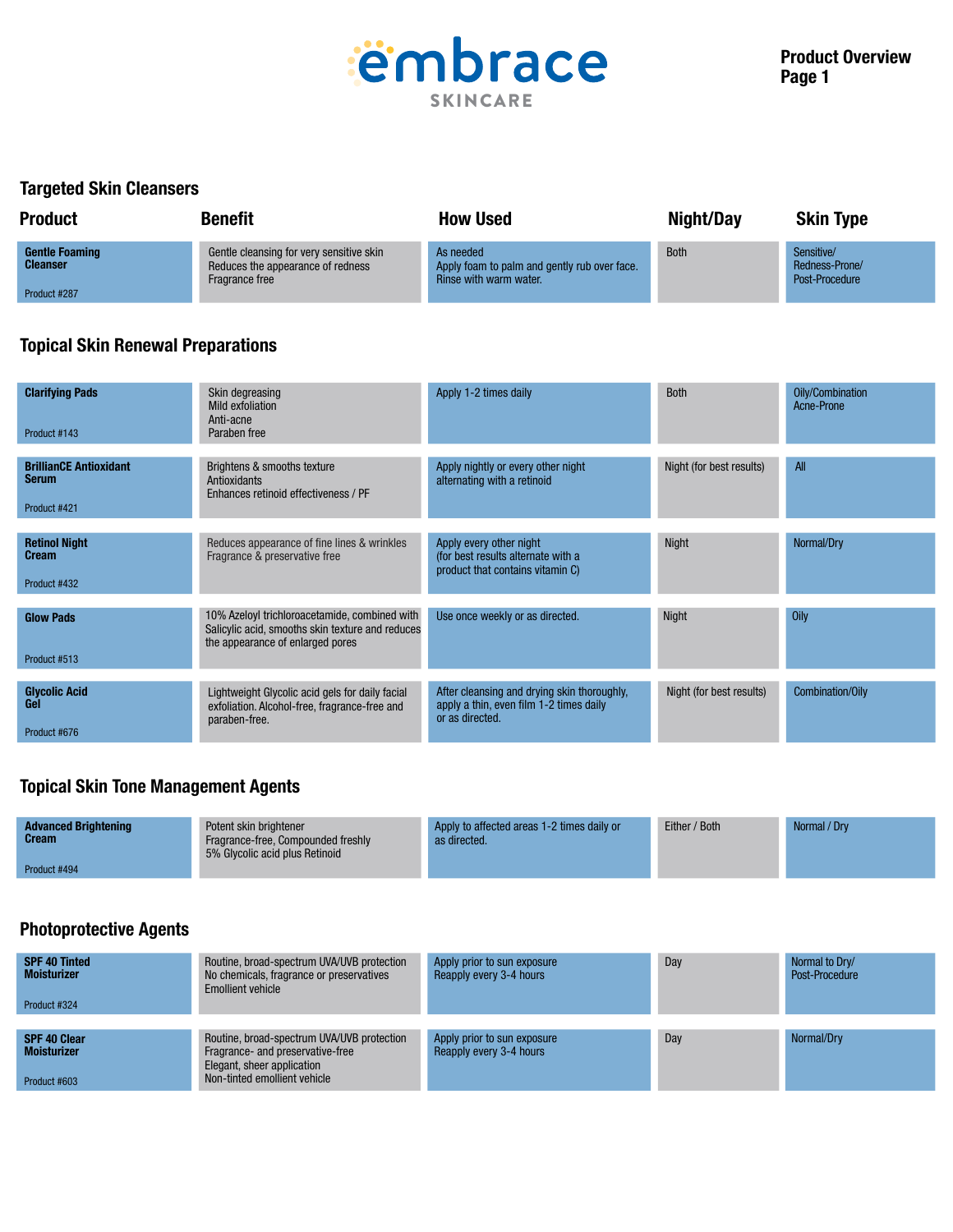

### Targeted Skin Cleansers

| <b>Product</b>                           | <b>Benefit</b>                                                                                  | <b>How Used</b>                                                                     | Night/Day   | <b>Skin Type</b>                               |
|------------------------------------------|-------------------------------------------------------------------------------------------------|-------------------------------------------------------------------------------------|-------------|------------------------------------------------|
| <b>Gentle Foaming</b><br><b>Cleanser</b> | Gentle cleansing for very sensitive skin<br>Reduces the appearance of redness<br>Fragrance free | As needed<br>Apply foam to palm and gently rub over face.<br>Rinse with warm water. | <b>Both</b> | Sensitive/<br>Redness-Prone/<br>Post-Procedure |
| Product #287                             |                                                                                                 |                                                                                     |             |                                                |

# Topical Skin Renewal Preparations

| <b>Clarifying Pads</b><br>Product #143                 | Skin degreasing<br>Mild exfoliation<br>Anti-acne<br>Paraben free                                                                      | Apply 1-2 times daily                                                                                     | <b>Both</b>              | Oily/Combination<br>Acne-Prone |
|--------------------------------------------------------|---------------------------------------------------------------------------------------------------------------------------------------|-----------------------------------------------------------------------------------------------------------|--------------------------|--------------------------------|
| <b>BrillianCE Antioxidant</b><br>Serum<br>Product #421 | Brightens & smooths texture<br>Antioxidants<br>Enhances retinoid effectiveness / PF                                                   | Apply nightly or every other night<br>alternating with a retinoid                                         | Night (for best results) | <b>All</b>                     |
| <b>Retinol Night</b><br>Cream<br>Product #432          | Reduces appearance of fine lines & wrinkles<br>Fragrance & preservative free                                                          | Apply every other night<br>(for best results alternate with a<br>product that contains vitamin C)         | Night                    | Normal/Dry                     |
| <b>Glow Pads</b><br>Product #513                       | 10% Azeloyl trichloroacetamide, combined with<br>Salicylic acid, smooths skin texture and reduces<br>the appearance of enlarged pores | Use once weekly or as directed.                                                                           | <b>Night</b>             | Oily                           |
| <b>Glycolic Acid</b><br>Gel<br>Product #676            | Lightweight Glycolic acid gels for daily facial<br>exfoliation. Alcohol-free, fragrance-free and<br>paraben-free.                     | After cleansing and drying skin thoroughly,<br>apply a thin, even film 1-2 times daily<br>or as directed. | Night (for best results) | Combination/Oily               |

## Topical Skin Tone Management Agents

| <b>Advanced Brightening</b><br><b>Cream</b> | Potent skin brightener<br>Fragrance-free, Compounded freshly<br>5% Glycolic acid plus Retinoid | Apply to affected areas 1-2 times daily or<br>as directed. | Either / Both | Normal / Drv |
|---------------------------------------------|------------------------------------------------------------------------------------------------|------------------------------------------------------------|---------------|--------------|
| Product #494                                |                                                                                                |                                                            |               |              |

### Photoprotective Agents

| <b>SPF 40 Tinted</b><br><b>Moisturizer</b><br>Product #324 | Routine, broad-spectrum UVA/UVB protection<br>No chemicals, fragrance or preservatives<br><b>Emollient vehicle</b>                           | Apply prior to sun exposure<br>Reapply every 3-4 hours | Day | Normal to Dry/<br>Post-Procedure |
|------------------------------------------------------------|----------------------------------------------------------------------------------------------------------------------------------------------|--------------------------------------------------------|-----|----------------------------------|
| <b>SPF 40 Clear</b><br><b>Moisturizer</b><br>Product #603  | Routine, broad-spectrum UVA/UVB protection<br>Fragrance- and preservative-free<br>Elegant, sheer application<br>Non-tinted emollient vehicle | Apply prior to sun exposure<br>Reapply every 3-4 hours | Day | Normal/Dry                       |